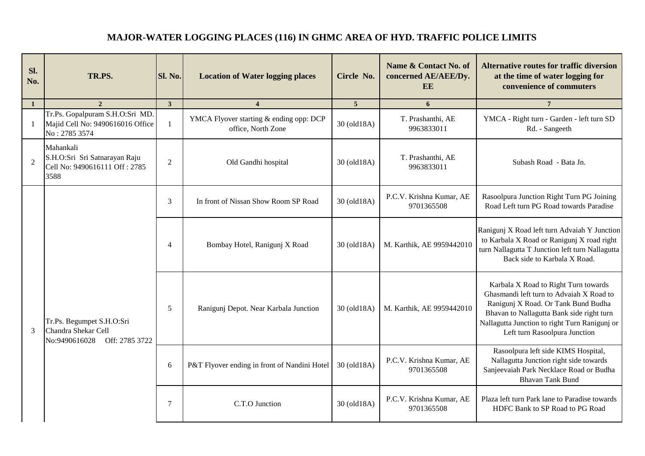## **MAJOR-WATER LOGGING PLACES (116) IN GHMC AREA OF HYD. TRAFFIC POLICE LIMITS**

| Sl.<br>No.     | TR.PS.                                                                                   | Sl. No.        | <b>Location of Water logging places</b>                       | Circle No.     | Name & Contact No. of<br>concerned AE/AEE/Dy.<br>EE | <b>Alternative routes for traffic diversion</b><br>at the time of water logging for<br>convenience of commuters                                                                                                                                        |
|----------------|------------------------------------------------------------------------------------------|----------------|---------------------------------------------------------------|----------------|-----------------------------------------------------|--------------------------------------------------------------------------------------------------------------------------------------------------------------------------------------------------------------------------------------------------------|
| 1              | $\overline{2}$                                                                           | $\mathbf{3}$   | $\overline{\mathbf{4}}$                                       | 5 <sup>5</sup> | 6                                                   | $7\phantom{.0}$                                                                                                                                                                                                                                        |
| $\mathbf{1}$   | Tr.Ps. Gopalpuram S.H.O:Sri MD.<br>Majid Cell No: 9490616016 Office<br>No: 2785 3574     | $\mathbf{1}$   | YMCA Flyover starting & ending opp: DCP<br>office, North Zone | 30 (old18A)    | T. Prashanthi, AE<br>9963833011                     | YMCA - Right turn - Garden - left turn SD<br>Rd. - Sangeeth                                                                                                                                                                                            |
| $\overline{2}$ | Mahankali<br>S.H.O:Sri Sri Satnarayan Raju<br>Cell No: 9490616111 Off: 2785<br>3588      | $\mathfrak{2}$ | Old Gandhi hospital                                           | 30 (old18A)    | T. Prashanthi, AE<br>9963833011                     | Subash Road - Bata Jn.                                                                                                                                                                                                                                 |
|                | Tr.Ps. Begumpet S.H.O:Sri<br>3<br>Chandra Shekar Cell<br>No:9490616028<br>Off: 2785 3722 | 3              | In front of Nissan Show Room SP Road                          | 30 (old18A)    | P.C.V. Krishna Kumar, AE<br>9701365508              | Rasoolpura Junction Right Turn PG Joining<br>Road Left turn PG Road towards Paradise                                                                                                                                                                   |
|                |                                                                                          | $\overline{4}$ | Bombay Hotel, Ranigunj X Road                                 | 30 (old18A)    | M. Karthik, AE 9959442010                           | Ranigunj X Road left turn Advaiah Y Junction<br>to Karbala X Road or Ranigunj X road right<br>turn Nallagutta T Junction left turn Nallagutta<br>Back side to Karbala X Road.                                                                          |
|                |                                                                                          | 5              | Ranigunj Depot. Near Karbala Junction                         | 30 (old18A)    | M. Karthik, AE 9959442010                           | Karbala X Road to Right Turn towards<br>Ghasmandi left turn to Advaiah X Road to<br>Ranigunj X Road. Or Tank Bund Budha<br>Bhavan to Nallagutta Bank side right turn<br>Nallagutta Junction to right Turn Ranigunj or<br>Left turn Rasoolpura Junction |
|                |                                                                                          | 6              | P&T Flyover ending in front of Nandini Hotel                  | 30 (old18A)    | P.C.V. Krishna Kumar, AE<br>9701365508              | Rasoolpura left side KIMS Hospital,<br>Nallagutta Junction right side towards<br>Sanjeevaiah Park Necklace Road or Budha<br><b>Bhavan Tank Bund</b>                                                                                                    |
|                |                                                                                          | $\overline{7}$ | C.T.O Junction                                                | 30 (old18A)    | P.C.V. Krishna Kumar, AE<br>9701365508              | Plaza left turn Park lane to Paradise towards<br>HDFC Bank to SP Road to PG Road                                                                                                                                                                       |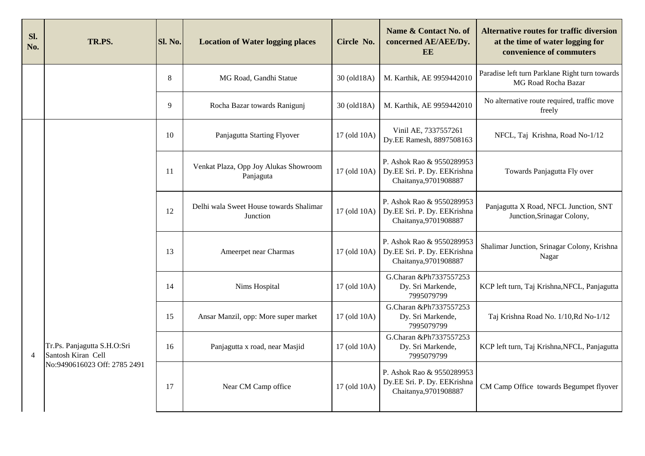| Sl.<br>No.     | TR.PS.                                                                            | Sl. No. | <b>Location of Water logging places</b>             | Circle No.   | Name & Contact No. of<br>concerned AE/AEE/Dy.<br>EE                               | <b>Alternative routes for traffic diversion</b><br>at the time of water logging for<br>convenience of commuters |
|----------------|-----------------------------------------------------------------------------------|---------|-----------------------------------------------------|--------------|-----------------------------------------------------------------------------------|-----------------------------------------------------------------------------------------------------------------|
|                |                                                                                   | 8       | MG Road, Gandhi Statue                              | 30 (old18A)  | M. Karthik, AE 9959442010                                                         | Paradise left turn Parklane Right turn towards<br>MG Road Rocha Bazar                                           |
|                |                                                                                   | 9       | Rocha Bazar towards Ranigunj                        | 30 (old18A)  | M. Karthik, AE 9959442010                                                         | No alternative route required, traffic move<br>freely                                                           |
|                |                                                                                   | 10      | Panjagutta Starting Flyover                         | 17 (old 10A) | Vinil AE, 7337557261<br>Dy.EE Ramesh, 8897508163                                  | NFCL, Taj Krishna, Road No-1/12                                                                                 |
|                |                                                                                   | 11      | Venkat Plaza, Opp Joy Alukas Showroom<br>Panjaguta  | 17 (old 10A) | P. Ashok Rao & 9550289953<br>Dy.EE Sri. P. Dy. EEKrishna<br>Chaitanya, 9701908887 | Towards Panjagutta Fly over                                                                                     |
|                |                                                                                   | 12      | Delhi wala Sweet House towards Shalimar<br>Junction | 17 (old 10A) | P. Ashok Rao & 9550289953<br>Dy.EE Sri. P. Dy. EEKrishna<br>Chaitanya, 9701908887 | Panjagutta X Road, NFCL Junction, SNT<br>Junction, Srinagar Colony,                                             |
|                |                                                                                   | 13      | Ameerpet near Charmas                               | 17 (old 10A) | P. Ashok Rao & 9550289953<br>Dy.EE Sri. P. Dy. EEKrishna<br>Chaitanya, 9701908887 | Shalimar Junction, Srinagar Colony, Krishna<br>Nagar                                                            |
|                |                                                                                   | 14      | Nims Hospital                                       | 17 (old 10A) | G.Charan &Ph7337557253<br>Dy. Sri Markende,<br>7995079799                         | KCP left turn, Taj Krishna, NFCL, Panjagutta                                                                    |
|                |                                                                                   | 15      | Ansar Manzil, opp: More super market                | 17 (old 10A) | G.Charan &Ph7337557253<br>Dy. Sri Markende,<br>7995079799                         | Taj Krishna Road No. 1/10, Rd No-1/12                                                                           |
| $\overline{4}$ | Tr.Ps. Panjagutta S.H.O:Sri<br>Santosh Kiran Cell<br>No:9490616023 Off: 2785 2491 | 16      | Panjagutta x road, near Masjid                      | 17 (old 10A) | G.Charan &Ph7337557253<br>Dy. Sri Markende,<br>7995079799                         | KCP left turn, Taj Krishna, NFCL, Panjagutta                                                                    |
|                |                                                                                   | 17      | Near CM Camp office                                 | 17 (old 10A) | P. Ashok Rao & 9550289953<br>Dy.EE Sri. P. Dy. EEKrishna<br>Chaitanya, 9701908887 | CM Camp Office towards Begumpet flyover                                                                         |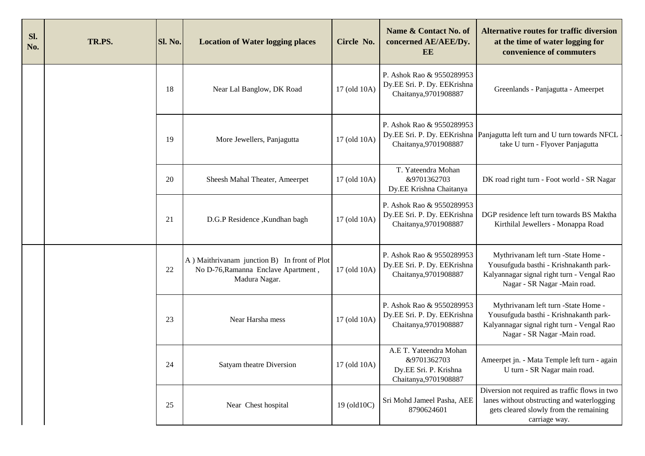| Sl.<br>No. | TR.PS. | Sl. No. | <b>Location of Water logging places</b>                                                              | Circle No.   | Name & Contact No. of<br>concerned AE/AEE/Dy.<br>EE                                     | <b>Alternative routes for traffic diversion</b><br>at the time of water logging for<br>convenience of commuters                                              |
|------------|--------|---------|------------------------------------------------------------------------------------------------------|--------------|-----------------------------------------------------------------------------------------|--------------------------------------------------------------------------------------------------------------------------------------------------------------|
|            |        | 18      | Near Lal Banglow, DK Road                                                                            | 17 (old 10A) | P. Ashok Rao & 9550289953<br>Dy.EE Sri. P. Dy. EEKrishna<br>Chaitanya, 9701908887       | Greenlands - Panjagutta - Ameerpet                                                                                                                           |
|            |        | 19      | More Jewellers, Panjagutta                                                                           | 17 (old 10A) | P. Ashok Rao & 9550289953<br>Chaitanya, 9701908887                                      | Dy.EE Sri. P. Dy. EEKrishna Panjagutta left turn and U turn towards NFCL<br>take U turn - Flyover Panjagutta                                                 |
|            |        | 20      | Sheesh Mahal Theater, Ameerpet                                                                       | 17 (old 10A) | T. Yateendra Mohan<br>&9701362703<br>Dy.EE Krishna Chaitanya                            | DK road right turn - Foot world - SR Nagar                                                                                                                   |
|            |        | 21      | D.G.P Residence , Kundhan bagh                                                                       | 17 (old 10A) | P. Ashok Rao & 9550289953<br>Dy.EE Sri. P. Dy. EEKrishna<br>Chaitanya, 9701908887       | DGP residence left turn towards BS Maktha<br>Kirthilal Jewellers - Monappa Road                                                                              |
|            |        | 22      | A) Maithrivanam junction B) In front of Plot<br>No D-76, Ramanna Enclave Apartment,<br>Madura Nagar. | 17 (old 10A) | P. Ashok Rao & 9550289953<br>Dy.EE Sri. P. Dy. EEKrishna<br>Chaitanya, 9701908887       | Mythrivanam left turn -State Home -<br>Yousufguda basthi - Krishnakanth park-<br>Kalyannagar signal right turn - Vengal Rao<br>Nagar - SR Nagar - Main road. |
|            |        | 23      | Near Harsha mess                                                                                     | 17 (old 10A) | P. Ashok Rao & 9550289953<br>Dy.EE Sri. P. Dy. EEKrishna<br>Chaitanya, 9701908887       | Mythrivanam left turn -State Home -<br>Yousufguda basthi - Krishnakanth park-<br>Kalyannagar signal right turn - Vengal Rao<br>Nagar - SR Nagar - Main road. |
|            |        | 24      | Satyam theatre Diversion                                                                             | 17 (old 10A) | A.E T. Yateendra Mohan<br>&9701362703<br>Dy.EE Sri. P. Krishna<br>Chaitanya, 9701908887 | Ameerpet jn. - Mata Temple left turn - again<br>U turn - SR Nagar main road.                                                                                 |
|            |        | 25      | Near Chest hospital                                                                                  | 19 (old10C)  | Sri Mohd Jameel Pasha, AEE<br>8790624601                                                | Diversion not required as traffic flows in two<br>lanes without obstructing and waterlogging<br>gets cleared slowly from the remaining<br>carriage way.      |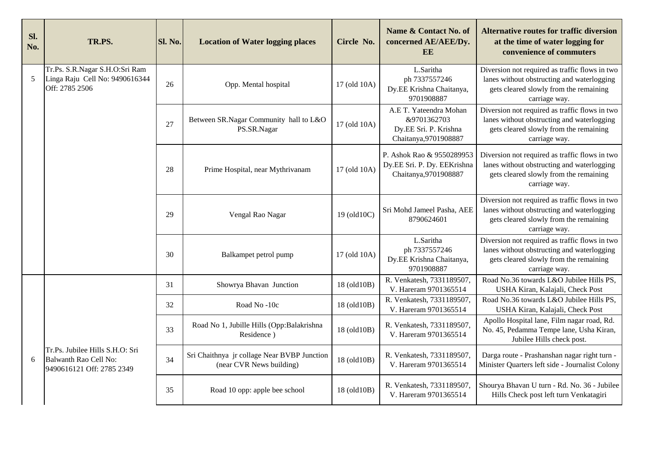| SI.<br>No. | TR.PS.                                                                                | Sl. No. | <b>Location of Water logging places</b>                                 | Circle No.   | Name & Contact No. of<br>concerned AE/AEE/Dy.<br>EE                                     | <b>Alternative routes for traffic diversion</b><br>at the time of water logging for<br>convenience of commuters                                         |
|------------|---------------------------------------------------------------------------------------|---------|-------------------------------------------------------------------------|--------------|-----------------------------------------------------------------------------------------|---------------------------------------------------------------------------------------------------------------------------------------------------------|
| 5          | Tr.Ps. S.R.Nagar S.H.O:Sri Ram<br>Linga Raju Cell No: 9490616344<br>Off: 2785 2506    | 26      | Opp. Mental hospital                                                    | 17 (old 10A) | L.Saritha<br>ph 7337557246<br>Dy.EE Krishna Chaitanya,<br>9701908887                    | Diversion not required as traffic flows in two<br>lanes without obstructing and waterlogging<br>gets cleared slowly from the remaining<br>carriage way. |
|            |                                                                                       | 27      | Between SR.Nagar Community hall to L&O<br>PS.SR.Nagar                   | 17 (old 10A) | A.E T. Yateendra Mohan<br>&9701362703<br>Dy.EE Sri. P. Krishna<br>Chaitanya, 9701908887 | Diversion not required as traffic flows in two<br>lanes without obstructing and waterlogging<br>gets cleared slowly from the remaining<br>carriage way. |
|            |                                                                                       | 28      | Prime Hospital, near Mythrivanam                                        | 17 (old 10A) | P. Ashok Rao & 9550289953<br>Dy.EE Sri. P. Dy. EEKrishna<br>Chaitanya, 9701908887       | Diversion not required as traffic flows in two<br>lanes without obstructing and waterlogging<br>gets cleared slowly from the remaining<br>carriage way. |
|            |                                                                                       | 29      | Vengal Rao Nagar                                                        | 19 (old10C)  | Sri Mohd Jameel Pasha, AEE<br>8790624601                                                | Diversion not required as traffic flows in two<br>lanes without obstructing and waterlogging<br>gets cleared slowly from the remaining<br>carriage way. |
|            |                                                                                       | 30      | Balkampet petrol pump                                                   | 17 (old 10A) | L.Saritha<br>ph 7337557246<br>Dy.EE Krishna Chaitanya,<br>9701908887                    | Diversion not required as traffic flows in two<br>lanes without obstructing and waterlogging<br>gets cleared slowly from the remaining<br>carriage way. |
|            |                                                                                       | 31      | Showrya Bhavan Junction                                                 | 18 (old10B)  | R. Venkatesh, 7331189507,<br>V. Hareram 9701365514                                      | Road No.36 towards L&O Jubilee Hills PS,<br>USHA Kiran, Kalajali, Check Post                                                                            |
|            |                                                                                       | 32      | Road No -10c                                                            | 18 (old10B)  | R. Venkatesh, 7331189507,<br>V. Hareram 9701365514                                      | Road No.36 towards L&O Jubilee Hills PS,<br>USHA Kiran, Kalajali, Check Post                                                                            |
|            |                                                                                       | 33      | Road No 1, Jubille Hills (Opp:Balakrishna<br>Residence)                 | 18 (old10B)  | R. Venkatesh, 7331189507,<br>V. Hareram 9701365514                                      | Apollo Hospital lane, Film nagar road, Rd.<br>No. 45, Pedamma Tempe lane, Usha Kiran,<br>Jubilee Hills check post.                                      |
| 6          | Tr.Ps. Jubilee Hills S.H.O: Sri<br>Balwanth Rao Cell No:<br>9490616121 Off: 2785 2349 | 34      | Sri Chaithnya jr collage Near BVBP Junction<br>(near CVR News building) | 18 (old10B)  | R. Venkatesh, 7331189507,<br>V. Hareram 9701365514                                      | Darga route - Prashanshan nagar right turn -<br>Minister Quarters left side - Journalist Colony                                                         |
|            |                                                                                       | 35      | Road 10 opp: apple bee school                                           | 18 (old10B)  | R. Venkatesh, 7331189507,<br>V. Hareram 9701365514                                      | Shourya Bhavan U turn - Rd. No. 36 - Jubilee<br>Hills Check post left turn Venkatagiri                                                                  |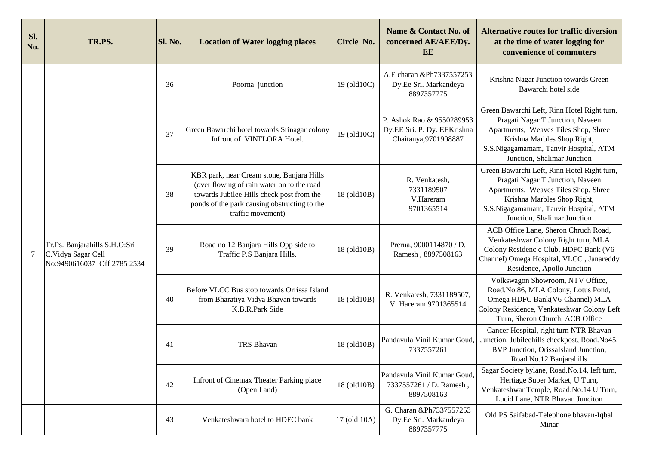| Sl.<br>No. | TR.PS.                                                                             | Sl. No. | <b>Location of Water logging places</b>                                                                                                                                                                   | Circle No.   | Name & Contact No. of<br>concerned AE/AEE/Dy.<br>EE                               | <b>Alternative routes for traffic diversion</b><br>at the time of water logging for<br>convenience of commuters                                                                                                                |
|------------|------------------------------------------------------------------------------------|---------|-----------------------------------------------------------------------------------------------------------------------------------------------------------------------------------------------------------|--------------|-----------------------------------------------------------------------------------|--------------------------------------------------------------------------------------------------------------------------------------------------------------------------------------------------------------------------------|
|            |                                                                                    | 36      | Poorna junction                                                                                                                                                                                           | 19 (old10C)  | A.E charan &Ph7337557253<br>Dy.Ee Sri. Markandeya<br>8897357775                   | Krishna Nagar Junction towards Green<br>Bawarchi hotel side                                                                                                                                                                    |
|            |                                                                                    | 37      | Green Bawarchi hotel towards Srinagar colony<br>Infront of VINFLORA Hotel.                                                                                                                                | 19 (old10C)  | P. Ashok Rao & 9550289953<br>Dy.EE Sri. P. Dy. EEKrishna<br>Chaitanya, 9701908887 | Green Bawarchi Left, Rinn Hotel Right turn,<br>Pragati Nagar T Junction, Naveen<br>Apartments, Weaves Tiles Shop, Shree<br>Krishna Marbles Shop Right,<br>S.S.Nigagamamam, Tanvir Hospital, ATM<br>Junction, Shalimar Junction |
|            | Tr.Ps. Banjarahills S.H.O:Sri<br>C.Vidya Sagar Cell<br>No:9490616037 Off:2785 2534 | 38      | KBR park, near Cream stone, Banjara Hills<br>(over flowing of rain water on to the road<br>towards Jubilee Hills check post from the<br>ponds of the park causing obstructing to the<br>traffic movement) | 18 (old10B)  | R. Venkatesh,<br>7331189507<br>V.Hareram<br>9701365514                            | Green Bawarchi Left, Rinn Hotel Right turn,<br>Pragati Nagar T Junction, Naveen<br>Apartments, Weaves Tiles Shop, Shree<br>Krishna Marbles Shop Right,<br>S.S.Nigagamamam, Tanvir Hospital, ATM<br>Junction, Shalimar Junction |
| $\tau$     |                                                                                    | 39      | Road no 12 Banjara Hills Opp side to<br>Traffic P.S Banjara Hills.                                                                                                                                        | 18 (old10B)  | Prerna, 9000114870 / D.<br>Ramesh, 8897508163                                     | ACB Office Lane, Sheron Chruch Road,<br>Venkateshwar Colony Right turn, MLA<br>Colony Residenc e Club, HDFC Bank (V6<br>Channel) Omega Hospital, VLCC, Janareddy<br>Residence, Apollo Junction                                 |
|            |                                                                                    | 40      | Before VLCC Bus stop towards Orrissa Island<br>from Bharatiya Vidya Bhavan towards<br>K.B.R.Park Side                                                                                                     | 18 (old10B)  | R. Venkatesh, 7331189507,<br>V. Hareram 9701365514                                | Volkswagon Showroom, NTV Office,<br>Road.No.86, MLA Colony, Lotus Pond,<br>Omega HDFC Bank(V6-Channel) MLA<br>Colony Residence, Venkateshwar Colony Left<br>Turn, Sheron Church, ACB Office                                    |
|            |                                                                                    | 41      | TRS Bhavan                                                                                                                                                                                                | 18 (old10B)  | Pandavula Vinil Kumar Goud,<br>7337557261                                         | Cancer Hospital, right turn NTR Bhavan<br>Junction, Jubileehills checkpost, Road.No45,<br>BVP Junction, OrissaIsland Junction,<br>Road.No.12 Banjarahills                                                                      |
|            |                                                                                    | 42      | Infront of Cinemax Theater Parking place<br>(Open Land)                                                                                                                                                   | 18 (old10B)  | Pandavula Vinil Kumar Goud<br>7337557261 / D. Ramesh,<br>8897508163               | Sagar Society bylane, Road.No.14, left turn,<br>Hertiage Super Market, U Turn,<br>Venkateshwar Temple, Road.No.14 U Turn,<br>Lucid Lane, NTR Bhavan Junciton                                                                   |
|            |                                                                                    | 43      | Venkateshwara hotel to HDFC bank                                                                                                                                                                          | 17 (old 10A) | G. Charan &Ph7337557253<br>Dy.Ee Sri. Markandeya<br>8897357775                    | Old PS Saifabad-Telephone bhavan-Iqbal<br>Minar                                                                                                                                                                                |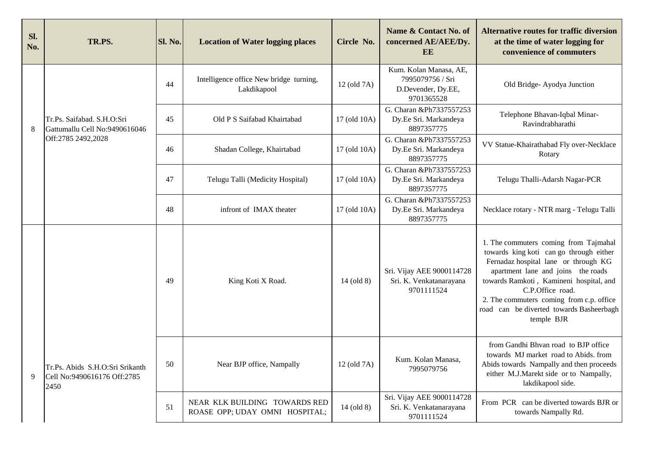| Sl.<br>No. | TR.PS.                                                                 | Sl. No. | <b>Location of Water logging places</b>                         | Circle No.   | Name & Contact No. of<br>concerned AE/AEE/Dy.<br><b>EE</b>                     | <b>Alternative routes for traffic diversion</b><br>at the time of water logging for<br>convenience of commuters                                                                                                                                                                                                                     |
|------------|------------------------------------------------------------------------|---------|-----------------------------------------------------------------|--------------|--------------------------------------------------------------------------------|-------------------------------------------------------------------------------------------------------------------------------------------------------------------------------------------------------------------------------------------------------------------------------------------------------------------------------------|
|            |                                                                        | 44      | Intelligence office New bridge turning,<br>Lakdikapool          | 12 (old 7A)  | Kum. Kolan Manasa, AE,<br>7995079756 / Sri<br>D.Devender, Dy.EE,<br>9701365528 | Old Bridge-Ayodya Junction                                                                                                                                                                                                                                                                                                          |
| 8          | Tr.Ps. Saifabad. S.H.O:Sri<br>Gattumallu Cell No:9490616046            | 45      | Old P S Saifabad Khairtabad                                     | 17 (old 10A) | G. Charan &Ph7337557253<br>Dy.Ee Sri. Markandeya<br>8897357775                 | Telephone Bhavan-Iqbal Minar-<br>Ravindrabharathi                                                                                                                                                                                                                                                                                   |
|            | Off:2785 2492,2028                                                     | 46      | Shadan College, Khairtabad                                      | 17 (old 10A) | G. Charan &Ph7337557253<br>Dy.Ee Sri. Markandeya<br>8897357775                 | VV Statue-Khairathabad Fly over-Necklace<br>Rotary                                                                                                                                                                                                                                                                                  |
|            |                                                                        | 47      | Telugu Talli (Medicity Hospital)                                | 17 (old 10A) | G. Charan &Ph7337557253<br>Dy.Ee Sri. Markandeya<br>8897357775                 | Telugu Thalli-Adarsh Nagar-PCR                                                                                                                                                                                                                                                                                                      |
|            |                                                                        | 48      | infront of IMAX theater                                         | 17 (old 10A) | G. Charan &Ph7337557253<br>Dy.Ee Sri. Markandeya<br>8897357775                 | Necklace rotary - NTR marg - Telugu Talli                                                                                                                                                                                                                                                                                           |
|            |                                                                        | 49      | King Koti X Road.                                               | $14$ (old 8) | Sri. Vijay AEE 9000114728<br>Sri. K. Venkatanarayana<br>9701111524             | 1. The commuters coming from Tajmahal<br>towards king koti can go through either<br>Fernadaz hospital lane or through KG<br>apartment lane and joins the roads<br>towards Ramkoti, Kamineni hospital, and<br>C.P.Office road.<br>2. The commuters coming from c.p. office<br>road can be diverted towards Basheerbagh<br>temple BJR |
| 9          | Tr.Ps. Abids S.H.O:Sri Srikanth<br>Cell No:9490616176 Off:2785<br>2450 | 50      | Near BJP office, Nampally                                       | 12 (old 7A)  | Kum. Kolan Manasa,<br>7995079756                                               | from Gandhi Bhvan road to BJP office<br>towards MJ market road to Abids. from<br>Abids towards Nampally and then proceeds<br>either M.J.Marekt side or to Nampally,<br>lakdikapool side.                                                                                                                                            |
|            |                                                                        | 51      | NEAR KLK BUILDING TOWARDS RED<br>ROASE OPP; UDAY OMNI HOSPITAL; | $14$ (old 8) | Sri. Vijay AEE 9000114728<br>Sri. K. Venkatanarayana<br>9701111524             | From PCR can be diverted towards BJR or<br>towards Nampally Rd.                                                                                                                                                                                                                                                                     |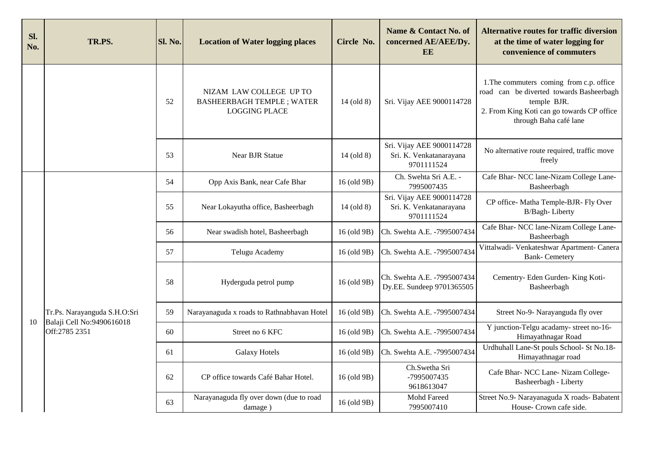| Sl.<br>No. | TR.PS.                                                    | Sl. No. | <b>Location of Water logging places</b>                                             | Circle No.   | Name & Contact No. of<br>concerned AE/AEE/Dy.<br><b>EE</b>         | <b>Alternative routes for traffic diversion</b><br>at the time of water logging for<br>convenience of commuters                                                             |
|------------|-----------------------------------------------------------|---------|-------------------------------------------------------------------------------------|--------------|--------------------------------------------------------------------|-----------------------------------------------------------------------------------------------------------------------------------------------------------------------------|
|            |                                                           | 52      | NIZAM LAW COLLEGE UP TO<br><b>BASHEERBAGH TEMPLE; WATER</b><br><b>LOGGING PLACE</b> | 14 (old 8)   | Sri. Vijay AEE 9000114728                                          | 1. The commuters coming from c.p. office<br>road can be diverted towards Basheerbagh<br>temple BJR.<br>2. From King Koti can go towards CP office<br>through Baha café lane |
|            |                                                           | 53      | <b>Near BJR Statue</b>                                                              | 14 (old 8)   | Sri. Vijay AEE 9000114728<br>Sri. K. Venkatanarayana<br>9701111524 | No alternative route required, traffic move<br>freely                                                                                                                       |
|            |                                                           | 54      | Opp Axis Bank, near Cafe Bhar                                                       | 16 (old 9B)  | Ch. Swehta Sri A.E. -<br>7995007435                                | Cafe Bhar- NCC lane-Nizam College Lane-<br>Basheerbagh                                                                                                                      |
|            |                                                           | 55      | Near Lokayutha office, Basheerbagh                                                  | $14$ (old 8) | Sri. Vijay AEE 9000114728<br>Sri. K. Venkatanarayana<br>9701111524 | CP office- Matha Temple-BJR- Fly Over<br>B/Bagh-Liberty                                                                                                                     |
|            |                                                           | 56      | Near swadish hotel, Basheerbagh                                                     | 16 (old 9B)  | Ch. Swehta A.E. -7995007434                                        | Cafe Bhar- NCC lane-Nizam College Lane-<br>Basheerbagh                                                                                                                      |
|            |                                                           | 57      | Telugu Academy                                                                      | 16 (old 9B)  | Ch. Swehta A.E. -7995007434                                        | Vittalwadi- Venkateshwar Apartment- Canera<br><b>Bank-Cemetery</b>                                                                                                          |
|            |                                                           | 58      | Hyderguda petrol pump                                                               | 16 (old 9B)  | Ch. Swehta A.E. -7995007434<br>Dy.EE. Sundeep 9701365505           | Cementry- Eden Gurden- King Koti-<br>Basheerbagh                                                                                                                            |
| 10         | Tr.Ps. Narayanguda S.H.O:Sri<br>Balaji Cell No:9490616018 | 59      | Narayanaguda x roads to Rathnabhavan Hotel                                          | 16 (old 9B)  | Ch. Swehta A.E. -7995007434                                        | Street No-9- Narayanguda fly over                                                                                                                                           |
|            | Off:2785 2351                                             | 60      | Street no 6 KFC                                                                     | 16 (old 9B)  | Ch. Swehta A.E. -7995007434                                        | Y junction-Telgu acadamy- street no-16-<br>Himayathnagar Road                                                                                                               |
|            |                                                           | 61      | <b>Galaxy Hotels</b>                                                                | 16 (old 9B)  | Ch. Swehta A.E. -7995007434                                        | Urdhuhall Lane-St pouls School- St No.18-<br>Himayathnagar road                                                                                                             |
|            |                                                           | 62      | CP office towards Café Bahar Hotel.                                                 | 16 (old 9B)  | Ch.Swetha Sri<br>-7995007435<br>9618613047                         | Cafe Bhar- NCC Lane- Nizam College-<br>Basheerbagh - Liberty                                                                                                                |
|            |                                                           | 63      | Narayanaguda fly over down (due to road<br>damage)                                  | 16 (old 9B)  | Mohd Fareed<br>7995007410                                          | Street No.9- Narayanaguda X roads- Babatent<br>House- Crown cafe side.                                                                                                      |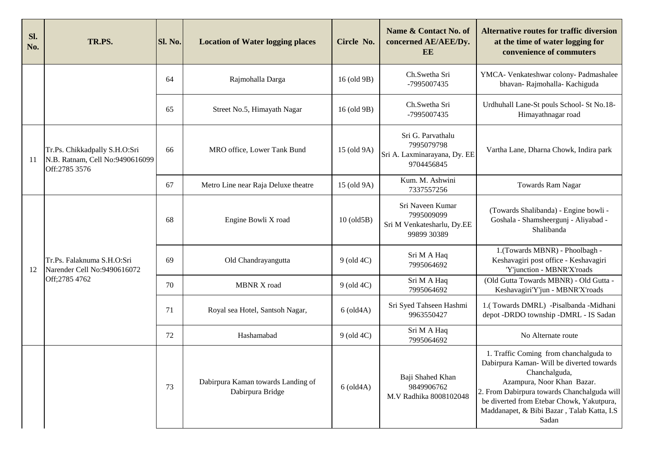| Sl.<br>No. | TR.PS.                                                                            | Sl. No. | <b>Location of Water logging places</b>                | Circle No.       | Name & Contact No. of<br>concerned AE/AEE/Dy.<br>EE                           | <b>Alternative routes for traffic diversion</b><br>at the time of water logging for<br>convenience of commuters                                                                                                                                                                       |
|------------|-----------------------------------------------------------------------------------|---------|--------------------------------------------------------|------------------|-------------------------------------------------------------------------------|---------------------------------------------------------------------------------------------------------------------------------------------------------------------------------------------------------------------------------------------------------------------------------------|
|            |                                                                                   | 64      | Rajmohalla Darga                                       | 16 (old 9B)      | Ch.Swetha Sri<br>-7995007435                                                  | YMCA- Venkateshwar colony- Padmashalee<br>bhavan-Rajmohalla-Kachiguda                                                                                                                                                                                                                 |
|            |                                                                                   | 65      | Street No.5, Himayath Nagar                            | 16 (old 9B)      | Ch.Swetha Sri<br>-7995007435                                                  | Urdhuhall Lane-St pouls School-St No.18-<br>Himayathnagar road                                                                                                                                                                                                                        |
| 11         | Tr.Ps. Chikkadpally S.H.O:Sri<br>N.B. Ratnam, Cell No:9490616099<br>Off:2785 3576 | 66      | MRO office, Lower Tank Bund                            | 15 (old 9A)      | Sri G. Parvathalu<br>7995079798<br>Sri A. Laxminarayana, Dy. EE<br>9704456845 | Vartha Lane, Dharna Chowk, Indira park                                                                                                                                                                                                                                                |
|            |                                                                                   | 67      | Metro Line near Raja Deluxe theatre                    | 15 (old 9A)      | Kum. M. Ashwini<br>7337557256                                                 | Towards Ram Nagar                                                                                                                                                                                                                                                                     |
|            | Tr.Ps. Falaknuma S.H.O:Sri<br>Narender Cell No:9490616072                         | 68      | Engine Bowli X road                                    | $10$ (old $5B$ ) | Sri Naveen Kumar<br>7995009099<br>Sri M Venkatesharlu, Dy.EE<br>99899 30389   | (Towards Shalibanda) - Engine bowli -<br>Goshala - Shamsheergunj - Aliyabad -<br>Shalibanda                                                                                                                                                                                           |
| 12         |                                                                                   | 69      | Old Chandrayangutta                                    | $9$ (old $4C$ )  | Sri M A Haq<br>7995064692                                                     | 1.(Towards MBNR) - Phoolbagh -<br>Keshavagiri post office - Keshavagiri<br>'Y'junction - MBNR'X'roads                                                                                                                                                                                 |
|            | Off;2785 4762                                                                     | 70      | <b>MBNR X road</b>                                     | $9$ (old $4C$ )  | Sri M A Haq<br>7995064692                                                     | (Old Gutta Towards MBNR) - Old Gutta -<br>Keshavagiri'Y'jun - MBNR'X'roads                                                                                                                                                                                                            |
|            |                                                                                   | 71      | Royal sea Hotel, Santsoh Nagar,                        | $6$ (old $4A$ )  | Sri Syed Tahseen Hashmi<br>9963550427                                         | 1.(Towards DMRL) -Pisalbanda -Midhani<br>depot -DRDO township -DMRL - IS Sadan                                                                                                                                                                                                        |
|            |                                                                                   | 72      | Hashamabad                                             | $9$ (old $4C$ )  | Sri M A Haq<br>7995064692                                                     | No Alternate route                                                                                                                                                                                                                                                                    |
|            |                                                                                   | 73      | Dabirpura Kaman towards Landing of<br>Dabirpura Bridge | $6$ (old $4A$ )  | Baji Shahed Khan<br>9849906762<br>M.V Radhika 8008102048                      | 1. Traffic Coming from chanchalguda to<br>Dabirpura Kaman- Will be diverted towards<br>Chanchalguda,<br>Azampura, Noor Khan Bazar.<br>2. From Dabirpura towards Chanchalguda will<br>be diverted from Etebar Chowk, Yakutpura,<br>Maddanapet, & Bibi Bazar, Talab Katta, I.S<br>Sadan |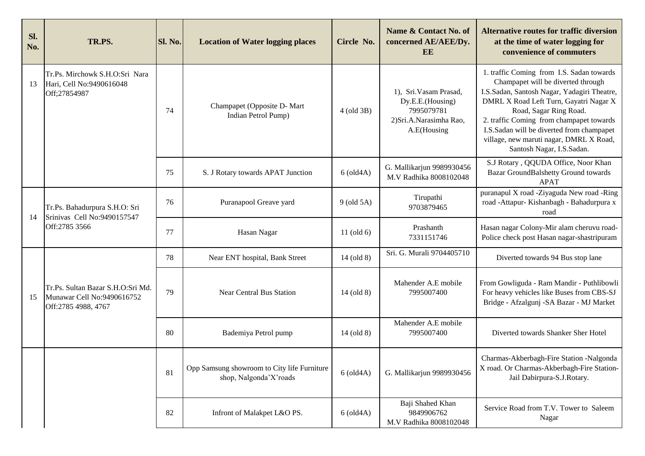| Sl.<br>No. | TR.PS.                                                                                 | Sl. No. | <b>Location of Water logging places</b>                               | Circle No.      | Name & Contact No. of<br>concerned AE/AEE/Dy.<br>EE                                                | <b>Alternative routes for traffic diversion</b><br>at the time of water logging for<br>convenience of commuters                                                                                                                                                                                                                                                     |
|------------|----------------------------------------------------------------------------------------|---------|-----------------------------------------------------------------------|-----------------|----------------------------------------------------------------------------------------------------|---------------------------------------------------------------------------------------------------------------------------------------------------------------------------------------------------------------------------------------------------------------------------------------------------------------------------------------------------------------------|
| 13         | Tr.Ps. Mirchowk S.H.O:Sri Nara<br>Hari, Cell No:9490616048<br>Off;27854987             | 74      | Champapet (Opposite D- Mart<br>Indian Petrol Pump)                    | 4 (old 3B)      | 1), Sri. Vasam Prasad,<br>Dy.E.E.(Housing)<br>7995079781<br>2) Sri.A.Narasimha Rao,<br>A.E(Housing | 1. traffic Coming from I.S. Sadan towards<br>Champapet will be diverted through<br>I.S.Sadan, Santosh Nagar, Yadagiri Theatre,<br>DMRL X Road Left Turn, Gayatri Nagar X<br>Road, Sagar Ring Road.<br>2. traffic Coming from champapet towards<br>I.S.Sadan will be diverted from champapet<br>village, new maruti nagar, DMRL X Road,<br>Santosh Nagar, I.S.Sadan. |
|            |                                                                                        | 75      | S. J Rotary towards APAT Junction                                     | $6$ (old $4A$ ) | G. Mallikarjun 9989930456<br>M.V Radhika 8008102048                                                | S.J Rotary , QQUDA Office, Noor Khan<br>Bazar GroundBalshetty Ground towards<br><b>APAT</b>                                                                                                                                                                                                                                                                         |
| 14         | Tr.Ps. Bahadurpura S.H.O: Sri<br>Srinivas Cell No:9490157547<br>Off:2785 3566          | 76      | Puranapool Greave yard                                                | $9$ (old $5A$ ) | Tirupathi<br>9703879465                                                                            | puranapul X road -Ziyaguda New road -Ring<br>road -Attapur- Kishanbagh - Bahadurpura x<br>road                                                                                                                                                                                                                                                                      |
|            |                                                                                        | 77      | Hasan Nagar                                                           | 11 $(old 6)$    | Prashanth<br>7331151746                                                                            | Hasan nagar Colony-Mir alam cheruvu road-<br>Police check post Hasan nagar-shastripuram                                                                                                                                                                                                                                                                             |
|            |                                                                                        | 78      | Near ENT hospital, Bank Street                                        | $14$ (old 8)    | Sri. G. Murali 9704405710                                                                          | Diverted towards 94 Bus stop lane                                                                                                                                                                                                                                                                                                                                   |
| 15         | Tr.Ps. Sultan Bazar S.H.O:Sri Md.<br>Munawar Cell No:9490616752<br>Off:2785 4988, 4767 | 79      | <b>Near Central Bus Station</b>                                       | 14 (old 8)      | Mahender A.E mobile<br>7995007400                                                                  | From Gowliguda - Ram Mandir - Puthlibowli<br>For heavy vehicles like Buses from CBS-SJ<br>Bridge - Afzalgunj - SA Bazar - MJ Market                                                                                                                                                                                                                                 |
|            |                                                                                        | 80      | Bademiya Petrol pump                                                  | $14$ (old 8)    | Mahender A.E mobile<br>7995007400                                                                  | Diverted towards Shanker Sher Hotel                                                                                                                                                                                                                                                                                                                                 |
|            |                                                                                        | 81      | Opp Samsung showroom to City life Furniture<br>shop, Nalgonda'X'roads | $6$ (old $4A$ ) | G. Mallikarjun 9989930456                                                                          | Charmas-Akberbagh-Fire Station -Nalgonda<br>X road. Or Charmas-Akberbagh-Fire Station-<br>Jail Dabirpura-S.J.Rotary.                                                                                                                                                                                                                                                |
|            |                                                                                        | 82      | Infront of Malakpet L&O PS.                                           | $6$ (old $4A$ ) | Baji Shahed Khan<br>9849906762<br>M.V Radhika 8008102048                                           | Service Road from T.V. Tower to Saleem<br>Nagar                                                                                                                                                                                                                                                                                                                     |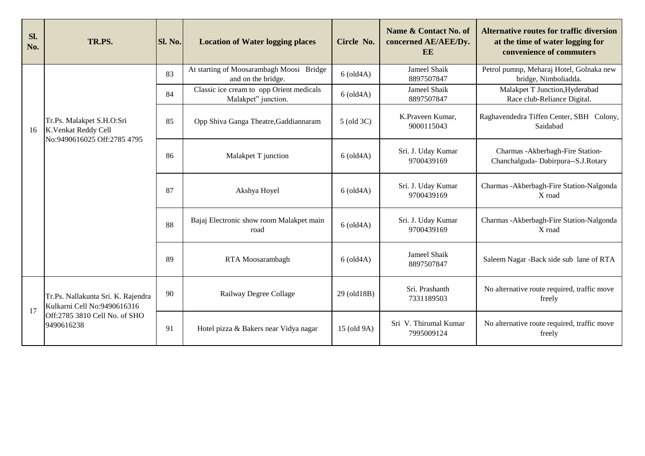| Sl.<br>No. | TR.PS.                                                                                                           | Sl. No. | <b>Location of Water logging places</b>                         | Circle No.      | Name & Contact No. of<br>concerned AE/AEE/Dy.<br>EE | <b>Alternative routes for traffic diversion</b><br>at the time of water logging for<br>convenience of commuters |
|------------|------------------------------------------------------------------------------------------------------------------|---------|-----------------------------------------------------------------|-----------------|-----------------------------------------------------|-----------------------------------------------------------------------------------------------------------------|
|            |                                                                                                                  | 83      | At starting of Moosarambagh Moosi Bridge<br>and on the bridge.  | $6$ (old $4A$ ) | Jameel Shaik<br>8897507847                          | Petrol pumnp, Meharaj Hotel, Golnaka new<br>bridge, Nimboliadda.                                                |
|            |                                                                                                                  | 84      | Classic ice cream to opp Orient medicals<br>Malakpet" junction. | $6$ (old $4A$ ) | Jameel Shaik<br>8897507847                          | Malakpet T Junction, Hyderabad<br>Race club-Reliance Digital.                                                   |
| 16         | Tr.Ps. Malakpet S.H.O:Sri<br>K. Venkat Reddy Cell                                                                | 85      | Opp Shiva Ganga Theatre, Gaddiannaram                           | 5 (old 3C)      | K.Praveen Kumar,<br>9000115043                      | Raghavendedra Tiffen Center, SBH Colony,<br>Saidabad                                                            |
|            | No:9490616025 Off:2785 4795                                                                                      | 86      | Malakpet T junction                                             | $6$ (old $4A$ ) | Sri. J. Uday Kumar<br>9700439169                    | Charmas - Akberbagh-Fire Station-<br>Chanchalguda-Dabirpura--S.J.Rotary                                         |
|            |                                                                                                                  | 87      | Akshya Hoyel                                                    | $6$ (old $4A$ ) | Sri. J. Uday Kumar<br>9700439169                    | Charmas - Akberbagh-Fire Station-Nalgonda<br>X road                                                             |
|            |                                                                                                                  | 88      | Bajaj Electronic show room Malakpet main<br>road                | $6$ (old $4A$ ) | Sri. J. Uday Kumar<br>9700439169                    | Charmas - Akberbagh-Fire Station-Nalgonda<br>X road                                                             |
|            |                                                                                                                  | 89      | RTA Moosarambagh                                                | $6$ (old $4A$ ) | Jameel Shaik<br>8897507847                          | Saleem Nagar - Back side sub lane of RTA                                                                        |
| 17         | Tr.Ps. Nallakunta Sri. K. Rajendra<br>Kulkarni Cell No:9490616316<br>Off:2785 3810 Cell No. of SHO<br>9490616238 | 90      | Railway Degree Collage                                          | 29 (old18B)     | Sri. Prashanth<br>7331189503                        | No alternative route required, traffic move<br>freely                                                           |
|            |                                                                                                                  | 91      | Hotel pizza & Bakers near Vidya nagar                           | 15 (old 9A)     | Sri V. Thirumal Kumar<br>7995009124                 | No alternative route required, traffic move<br>freely                                                           |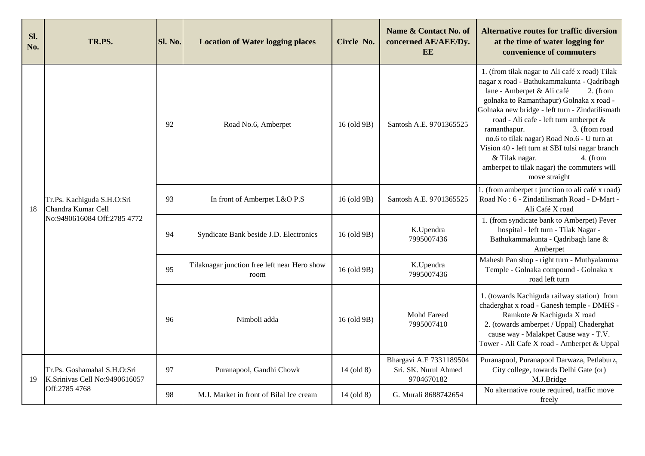| Sl.<br>No. | TR.PS.                                                                          | Sl. No. | <b>Location of Water logging places</b>              | Circle No.   | Name & Contact No. of<br>concerned AE/AEE/Dy.<br>EE           | <b>Alternative routes for traffic diversion</b><br>at the time of water logging for<br>convenience of commuters                                                                                                                                                                                                                                                                                                                                                                                                   |
|------------|---------------------------------------------------------------------------------|---------|------------------------------------------------------|--------------|---------------------------------------------------------------|-------------------------------------------------------------------------------------------------------------------------------------------------------------------------------------------------------------------------------------------------------------------------------------------------------------------------------------------------------------------------------------------------------------------------------------------------------------------------------------------------------------------|
|            |                                                                                 | 92      | Road No.6, Amberpet                                  | 16 (old 9B)  | Santosh A.E. 9701365525                                       | 1. (from tilak nagar to Ali café x road) Tilak<br>nagar x road - Bathukammakunta - Qadribagh<br>lane - Amberpet & Ali café<br>$2.$ (from<br>golnaka to Ramanthapur) Golnaka x road -<br>Golnaka new bridge - left turn - Zindatilismath<br>road - Ali cafe - left turn amberpet &<br>ramanthapur.<br>3. (from road<br>no.6 to tilak nagar) Road No.6 - U turn at<br>Vision 40 - left turn at SBI tulsi nagar branch<br>& Tilak nagar.<br>4. (from<br>amberpet to tilak nagar) the commuters will<br>move straight |
| 18         | Tr.Ps. Kachiguda S.H.O:Sri<br>Chandra Kumar Cell<br>No:9490616084 Off:2785 4772 | 93      | In front of Amberpet L&O P.S                         | 16 (old 9B)  | Santosh A.E. 9701365525                                       | 1. (from amberpet t junction to ali café x road)<br>Road No: 6 - Zindatilismath Road - D-Mart -<br>Ali Café X road                                                                                                                                                                                                                                                                                                                                                                                                |
|            |                                                                                 | 94      | Syndicate Bank beside J.D. Electronics               | 16 (old 9B)  | K.Upendra<br>7995007436                                       | 1. (from syndicate bank to Amberpet) Fever<br>hospital - left turn - Tilak Nagar -<br>Bathukammakunta - Qadribagh lane &<br>Amberpet                                                                                                                                                                                                                                                                                                                                                                              |
|            |                                                                                 | 95      | Tilaknagar junction free left near Hero show<br>room | 16 (old 9B)  | K.Upendra<br>7995007436                                       | Mahesh Pan shop - right turn - Muthyalamma<br>Temple - Golnaka compound - Golnaka x<br>road left turn                                                                                                                                                                                                                                                                                                                                                                                                             |
|            |                                                                                 | 96      | Nimboli adda                                         | 16 (old 9B)  | Mohd Fareed<br>7995007410                                     | 1. (towards Kachiguda railway station) from<br>chaderghat x road - Ganesh temple - DMHS<br>Ramkote & Kachiguda X road<br>2. (towards amberpet / Uppal) Chaderghat<br>cause way - Malakpet Cause way - T.V.<br>Tower - Ali Cafe X road - Amberpet & Uppal                                                                                                                                                                                                                                                          |
| 19         | Tr.Ps. Goshamahal S.H.O:Sri<br>K.Srinivas Cell No:9490616057<br>Off:2785 4768   | 97      | Puranapool, Gandhi Chowk                             | $14$ (old 8) | Bhargavi A.E 7331189504<br>Sri. SK. Nurul Ahmed<br>9704670182 | Puranapool, Puranapool Darwaza, Petlaburz,<br>City college, towards Delhi Gate (or)<br>M.J.Bridge                                                                                                                                                                                                                                                                                                                                                                                                                 |
|            |                                                                                 | 98      | M.J. Market in front of Bilal Ice cream              | 14 (old 8)   | G. Murali 8688742654                                          | No alternative route required, traffic move<br>freely                                                                                                                                                                                                                                                                                                                                                                                                                                                             |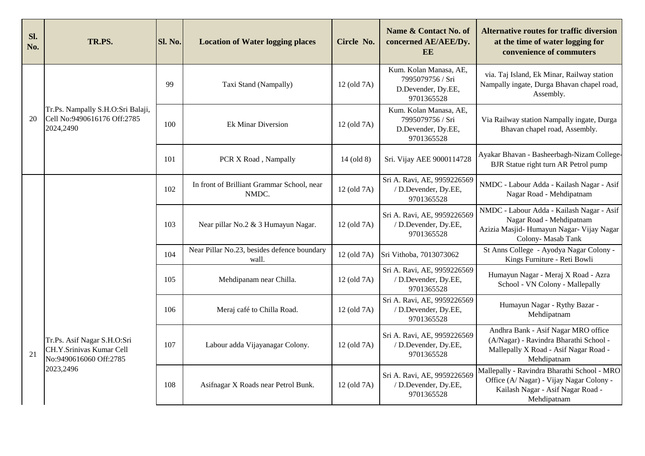| Sl.<br>No. | TR.PS.                                                                                         | Sl. No. | <b>Location of Water logging places</b>              | Circle No.       | Name & Contact No. of<br>concerned AE/AEE/Dy.<br>EE                            | <b>Alternative routes for traffic diversion</b><br>at the time of water logging for<br>convenience of commuters                             |
|------------|------------------------------------------------------------------------------------------------|---------|------------------------------------------------------|------------------|--------------------------------------------------------------------------------|---------------------------------------------------------------------------------------------------------------------------------------------|
|            |                                                                                                | 99      | Taxi Stand (Nampally)                                | 12 (old 7A)      | Kum. Kolan Manasa, AE,<br>7995079756 / Sri<br>D.Devender, Dy.EE,<br>9701365528 | via. Taj Island, Ek Minar, Railway station<br>Nampally ingate, Durga Bhavan chapel road,<br>Assembly.                                       |
| 20         | Tr.Ps. Nampally S.H.O:Sri Balaji,<br>Cell No:9490616176 Off:2785<br>2024,2490                  | 100     | <b>Ek Minar Diversion</b>                            | 12 (old 7A)      | Kum. Kolan Manasa, AE,<br>7995079756 / Sri<br>D.Devender, Dy.EE,<br>9701365528 | Via Railway station Nampally ingate, Durga<br>Bhavan chapel road, Assembly.                                                                 |
|            |                                                                                                | 101     | PCR X Road, Nampally                                 | 14 (old 8)       | Sri. Vijay AEE 9000114728                                                      | Ayakar Bhavan - Basheerbagh-Nizam College-<br>BJR Statue right turn AR Petrol pump                                                          |
|            |                                                                                                | 102     | In front of Brilliant Grammar School, near<br>NMDC.  | 12 (old 7A)      | Sri A. Ravi, AE, 9959226569<br>/ D.Devender, Dy.EE,<br>9701365528              | NMDC - Labour Adda - Kailash Nagar - Asif<br>Nagar Road - Mehdipatnam                                                                       |
|            |                                                                                                | 103     | Near pillar No.2 & 3 Humayun Nagar.                  | 12 (old 7A)      | Sri A. Ravi, AE, 9959226569<br>/ D.Devender, Dy.EE,<br>9701365528              | NMDC - Labour Adda - Kailash Nagar - Asif<br>Nagar Road - Mehdipatnam<br>Azizia Masjid-Humayun Nagar- Vijay Nagar<br>Colony-Masab Tank      |
|            |                                                                                                | 104     | Near Pillar No.23, besides defence boundary<br>wall. | 12 (old 7A)      | Sri Vithoba, 7013073062                                                        | St Anns College - Ayodya Nagar Colony -<br>Kings Furniture - Reti Bowli                                                                     |
|            |                                                                                                | 105     | Mehdipanam near Chilla.                              | 12 (old 7A)      | Sri A. Ravi, AE, 9959226569<br>/ D.Devender, Dy.EE,<br>9701365528              | Humayun Nagar - Meraj X Road - Azra<br>School - VN Colony - Mallepally                                                                      |
|            | Tr.Ps. Asif Nagar S.H.O:Sri<br>CH.Y.Srinivas Kumar Cell<br>No:9490616060 Off:2785<br>2023,2496 | 106     | Meraj café to Chilla Road.                           | $12$ (old $7A$ ) | Sri A. Ravi, AE, 9959226569<br>/ D.Devender, Dy.EE,<br>9701365528              | Humayun Nagar - Rythy Bazar -<br>Mehdipatnam                                                                                                |
| 21         |                                                                                                | 107     | Labour adda Vijayanagar Colony.                      | 12 (old 7A)      | Sri A. Ravi, AE, 9959226569<br>/ D.Devender, Dy.EE,<br>9701365528              | Andhra Bank - Asif Nagar MRO office<br>(A/Nagar) - Ravindra Bharathi School -<br>Mallepally X Road - Asif Nagar Road -<br>Mehdipatnam       |
|            |                                                                                                | 108     | Asifnagar X Roads near Petrol Bunk.                  | 12 (old 7A)      | Sri A. Ravi, AE, 9959226569<br>/ D.Devender, Dy.EE,<br>9701365528              | Mallepally - Ravindra Bharathi School - MRO<br>Office (A/ Nagar) - Vijay Nagar Colony -<br>Kailash Nagar - Asif Nagar Road -<br>Mehdipatnam |